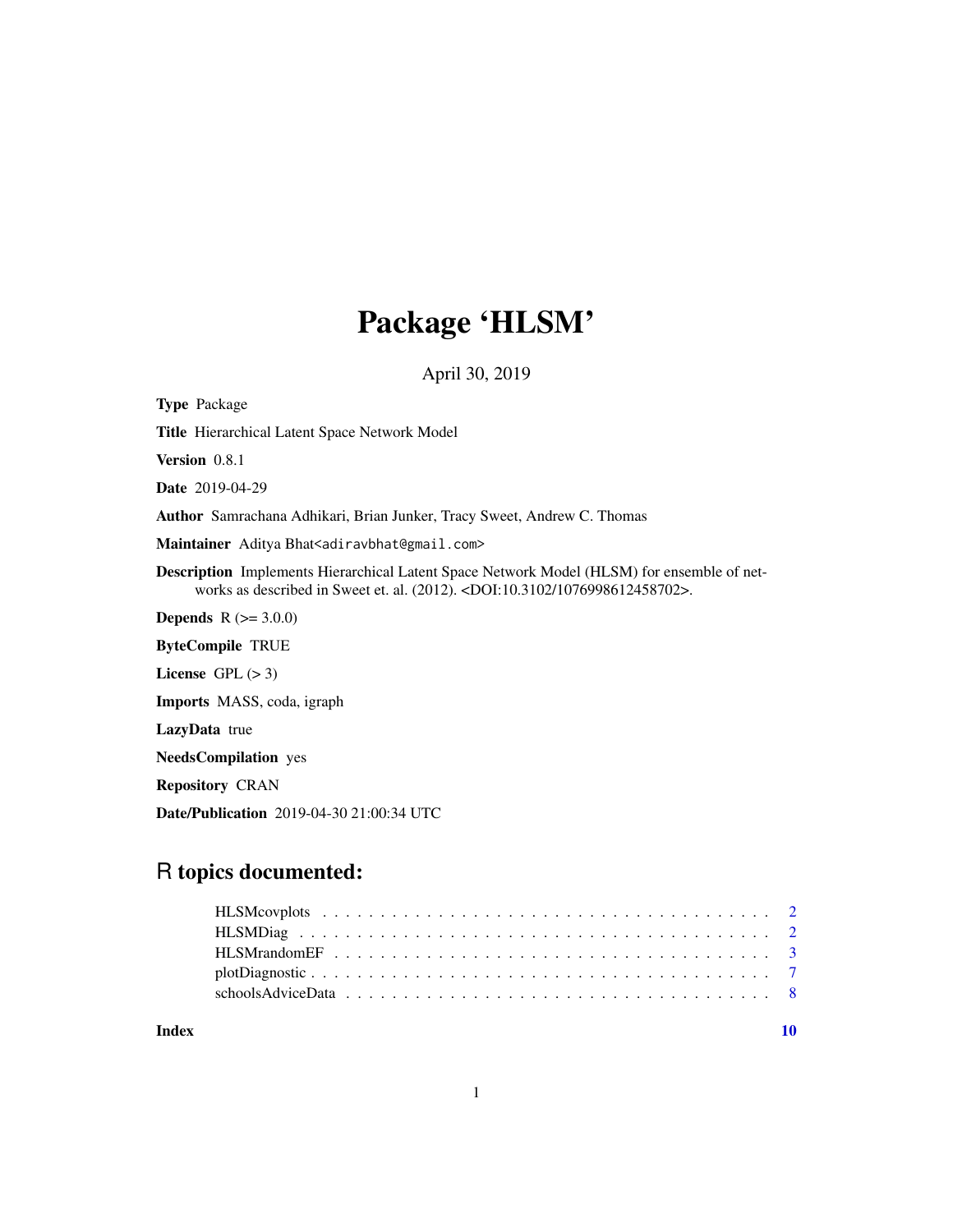# Package 'HLSM'

April 30, 2019

Type Package Title Hierarchical Latent Space Network Model Version 0.8.1 Date 2019-04-29 Author Samrachana Adhikari, Brian Junker, Tracy Sweet, Andrew C. Thomas Maintainer Aditya Bhat<adiravbhat@gmail.com> Description Implements Hierarchical Latent Space Network Model (HLSM) for ensemble of networks as described in Sweet et. al. (2012). <DOI:10.3102/1076998612458702>. **Depends**  $R (= 3.0.0)$ ByteCompile TRUE License  $GPL (> 3)$ Imports MASS, coda, igraph LazyData true NeedsCompilation yes Repository CRAN Date/Publication 2019-04-30 21:00:34 UTC

# R topics documented:

#### $\blacksquare$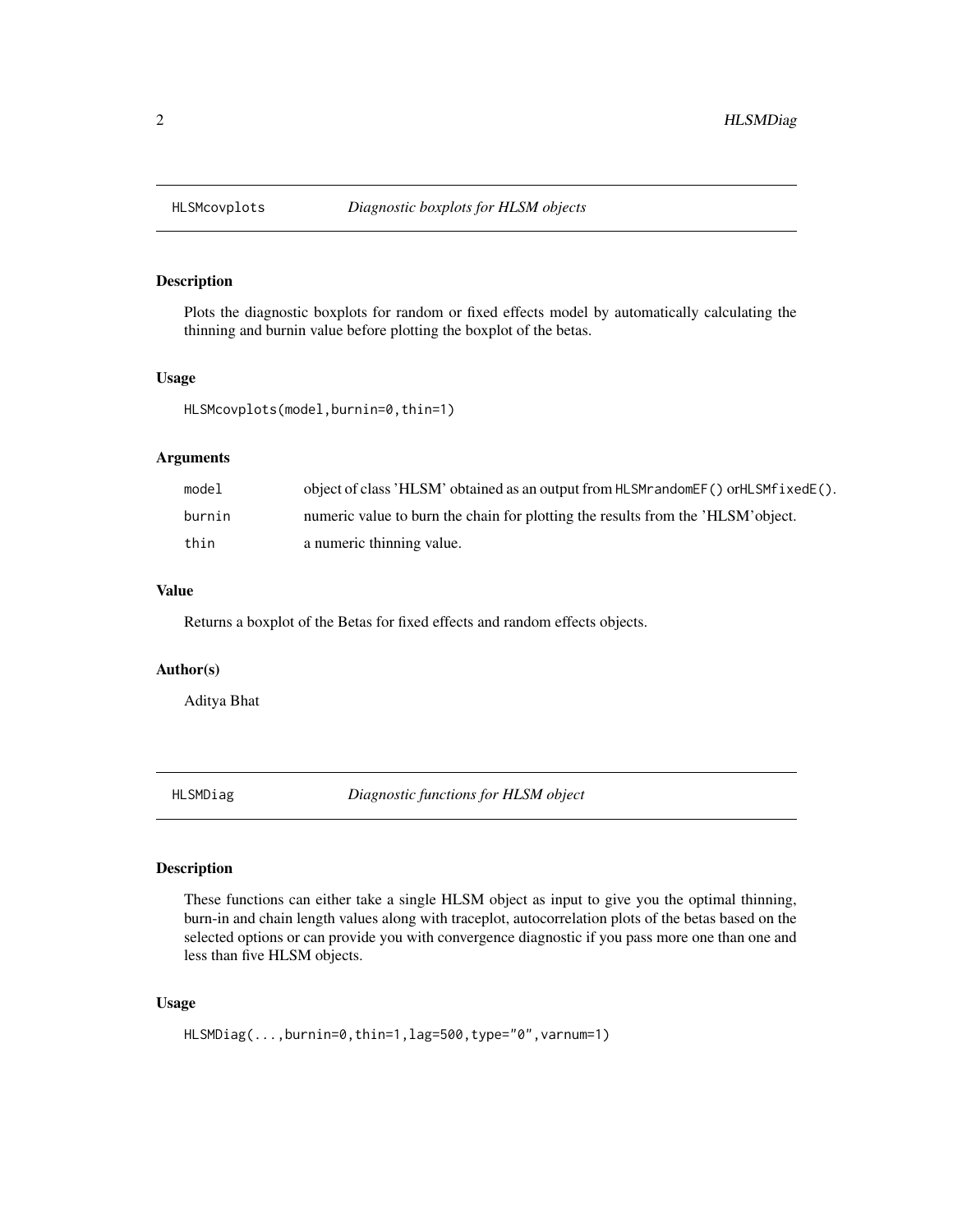<span id="page-1-0"></span>

# Description

Plots the diagnostic boxplots for random or fixed effects model by automatically calculating the thinning and burnin value before plotting the boxplot of the betas.

# Usage

HLSMcovplots(model,burnin=0,thin=1)

# Arguments

| mode1  | object of class 'HLSM' obtained as an output from HLSM randomer () or HLSM fixed $E(.)$ . |
|--------|-------------------------------------------------------------------------------------------|
| burnin | numeric value to burn the chain for plotting the results from the 'HLSM' object.          |
| thin   | a numeric thinning value.                                                                 |

# Value

Returns a boxplot of the Betas for fixed effects and random effects objects.

#### Author(s)

Aditya Bhat

HLSMDiag *Diagnostic functions for HLSM object*

# Description

These functions can either take a single HLSM object as input to give you the optimal thinning, burn-in and chain length values along with traceplot, autocorrelation plots of the betas based on the selected options or can provide you with convergence diagnostic if you pass more one than one and less than five HLSM objects.

# Usage

HLSMDiag(...,burnin=0,thin=1,lag=500,type="0",varnum=1)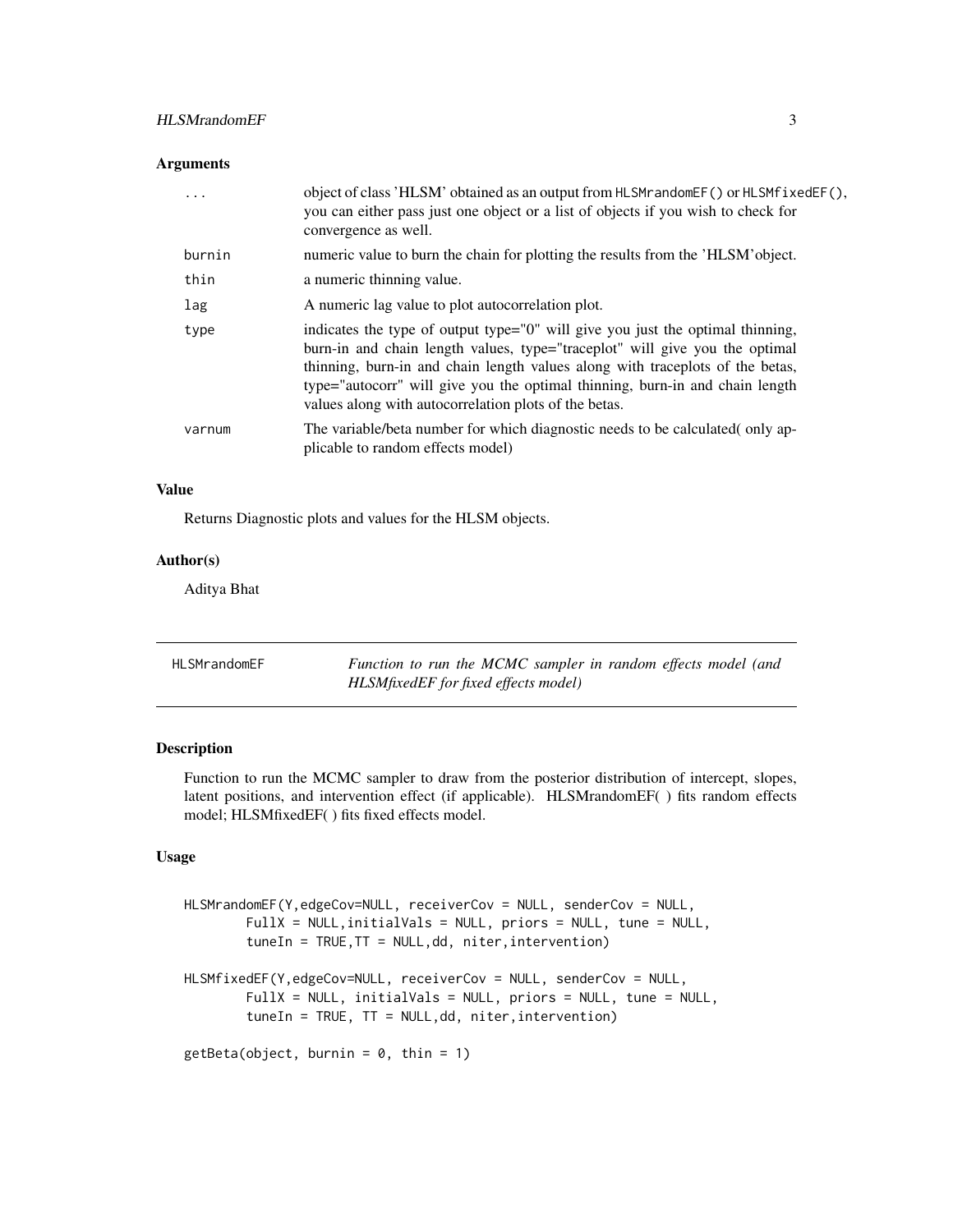# <span id="page-2-0"></span>HLSMrandomEF 3

# Arguments

| $\ddotsc$ | object of class 'HLSM' obtained as an output from HLSMrandomEF() or HLSMfixedEF(),<br>you can either pass just one object or a list of objects if you wish to check for<br>convergence as well.                                                                                                                                                                                         |
|-----------|-----------------------------------------------------------------------------------------------------------------------------------------------------------------------------------------------------------------------------------------------------------------------------------------------------------------------------------------------------------------------------------------|
| burnin    | numeric value to burn the chain for plotting the results from the 'HLSM' object.                                                                                                                                                                                                                                                                                                        |
| thin      | a numeric thinning value.                                                                                                                                                                                                                                                                                                                                                               |
| lag       | A numeric lag value to plot autocorrelation plot.                                                                                                                                                                                                                                                                                                                                       |
| type      | indicates the type of output type="0" will give you just the optimal thinning,<br>burn-in and chain length values, type="traceplot" will give you the optimal<br>thinning, burn-in and chain length values along with traceplots of the betas,<br>type="autocorr" will give you the optimal thinning, burn-in and chain length<br>values along with autocorrelation plots of the betas. |
| varnum    | The variable/beta number for which diagnostic needs to be calculated (only ap-<br>plicable to random effects model)                                                                                                                                                                                                                                                                     |

# Value

Returns Diagnostic plots and values for the HLSM objects.

# Author(s)

Aditya Bhat

| <b>HLSMrandomEF</b> | Function to run the MCMC sampler in random effects model (and |
|---------------------|---------------------------------------------------------------|
|                     | HLSMfixedEF for fixed effects model)                          |

# Description

Function to run the MCMC sampler to draw from the posterior distribution of intercept, slopes, latent positions, and intervention effect (if applicable). HLSMrandomEF( ) fits random effects model; HLSMfixedEF( ) fits fixed effects model.

#### Usage

```
HLSMrandomEF(Y,edgeCov=NULL, receiverCov = NULL, senderCov = NULL,
        FullX = NULL,initialVals = NULL, priors = NULL, tune = NULL,
        tuneIn = TRUE,TT = NULL,dd, niter,intervention)
HLSMfixedEF(Y,edgeCov=NULL, receiverCov = NULL, senderCov = NULL,
        FullX = NULL, initialVals = NULL, priors = NULL, tune = NULL,
        tuneIn = TRUE, TT = NULL,dd, niter,intervention)
getBeta(object, burnin = 0, thin = 1)
```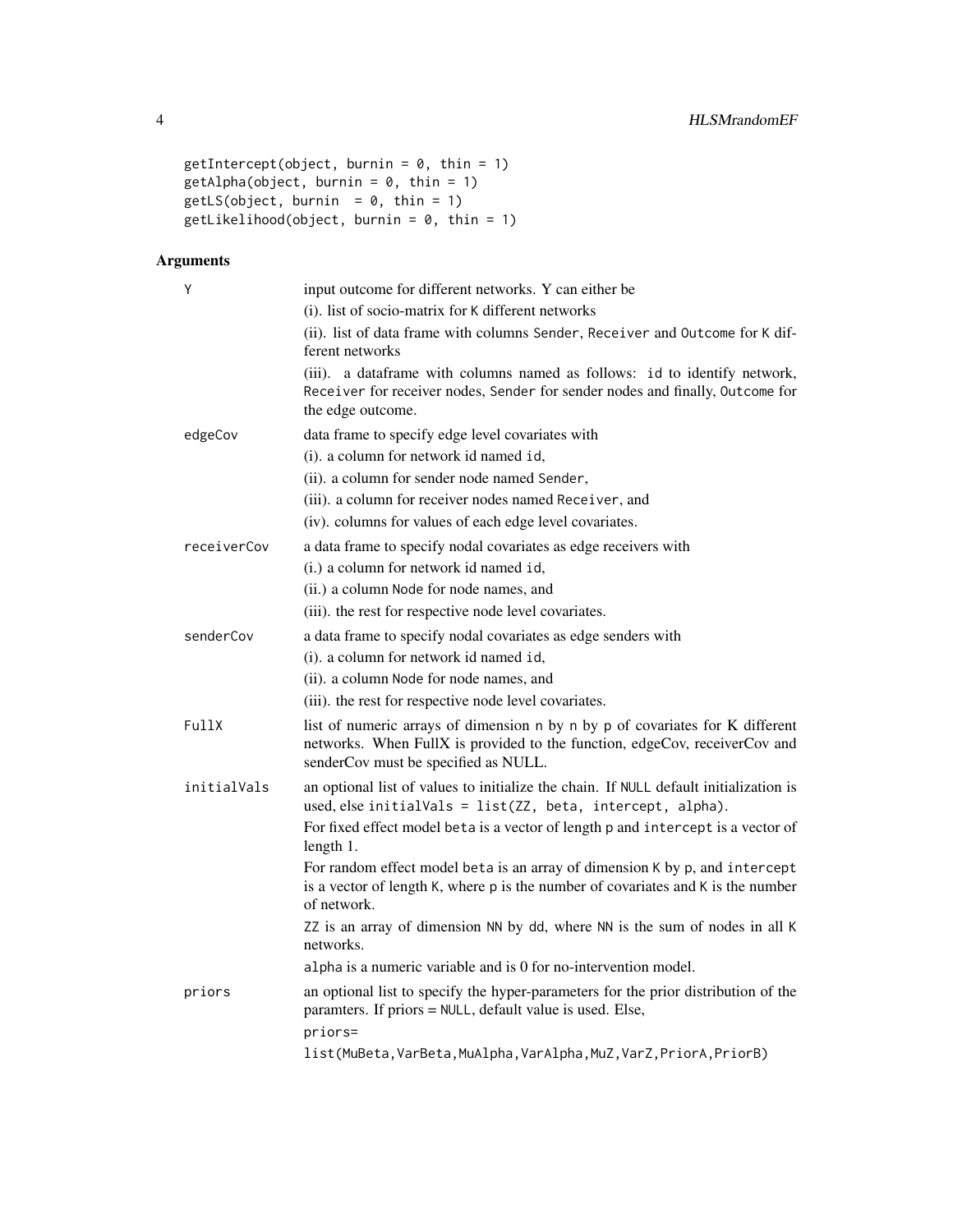```
getIntercept(object, burnin = 0, thin = 1)getAlpha(object, burnin = 0, thin = 1)getLS(object, burnin = 0, thin = 1)getLikelihood(object, burnin = 0, thin = 1)
```
# Arguments

| Υ           | input outcome for different networks. Y can either be                                                                                                                                               |
|-------------|-----------------------------------------------------------------------------------------------------------------------------------------------------------------------------------------------------|
|             | (i). list of socio-matrix for K different networks                                                                                                                                                  |
|             | (ii). list of data frame with columns Sender, Receiver and Outcome for K dif-<br>ferent networks                                                                                                    |
|             | (iii). a dataframe with columns named as follows: id to identify network,<br>Receiver for receiver nodes, Sender for sender nodes and finally, Outcome for<br>the edge outcome.                     |
| edgeCov     | data frame to specify edge level covariates with                                                                                                                                                    |
|             | (i). a column for network id named id,                                                                                                                                                              |
|             | (ii). a column for sender node named Sender,                                                                                                                                                        |
|             | (iii). a column for receiver nodes named Receiver, and                                                                                                                                              |
|             | (iv). columns for values of each edge level covariates.                                                                                                                                             |
| receiverCov | a data frame to specify nodal covariates as edge receivers with                                                                                                                                     |
|             | (i.) a column for network id named id,                                                                                                                                                              |
|             | (ii.) a column Node for node names, and                                                                                                                                                             |
|             | (iii). the rest for respective node level covariates.                                                                                                                                               |
| senderCov   | a data frame to specify nodal covariates as edge senders with                                                                                                                                       |
|             | (i). a column for network id named id,                                                                                                                                                              |
|             | (ii). a column Node for node names, and                                                                                                                                                             |
|             | (iii). the rest for respective node level covariates.                                                                                                                                               |
| FullX       | list of numeric arrays of dimension n by n by p of covariates for K different<br>networks. When FullX is provided to the function, edgeCov, receiverCov and<br>senderCov must be specified as NULL. |
| initialVals | an optional list of values to initialize the chain. If NULL default initialization is<br>used, else initialVals = list(ZZ, beta, intercept, alpha).                                                 |
|             | For fixed effect model beta is a vector of length p and intercept is a vector of<br>length 1.                                                                                                       |
|             | For random effect model beta is an array of dimension K by p, and intercept<br>is a vector of length K, where p is the number of covariates and K is the number<br>of network.                      |
|             | ZZ is an array of dimension NN by dd, where NN is the sum of nodes in all K<br>networks.                                                                                                            |
|             | alpha is a numeric variable and is 0 for no-intervention model.                                                                                                                                     |
| priors      | an optional list to specify the hyper-parameters for the prior distribution of the<br>paramters. If priors = NULL, default value is used. Else,                                                     |
|             | priors=                                                                                                                                                                                             |
|             | list(MuBeta, VarBeta, MuAlpha, VarAlpha, MuZ, VarZ, PriorA, PriorB)                                                                                                                                 |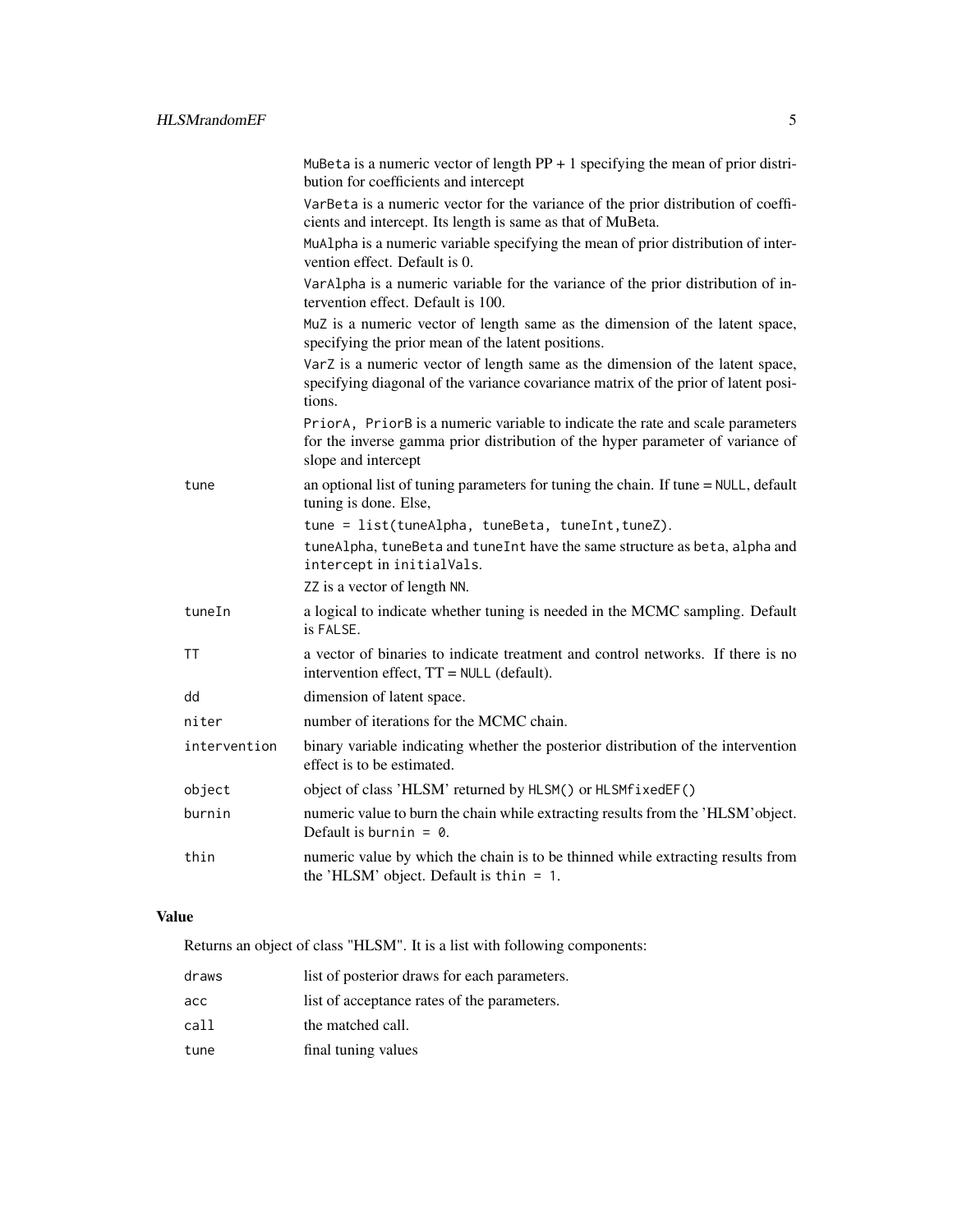|              | MuBeta is a numeric vector of length $PP + 1$ specifying the mean of prior distri-<br>bution for coefficients and intercept                                                             |
|--------------|-----------------------------------------------------------------------------------------------------------------------------------------------------------------------------------------|
|              | VarBeta is a numeric vector for the variance of the prior distribution of coeffi-<br>cients and intercept. Its length is same as that of MuBeta.                                        |
|              | MuAlpha is a numeric variable specifying the mean of prior distribution of inter-<br>vention effect. Default is 0.                                                                      |
|              | VarAlpha is a numeric variable for the variance of the prior distribution of in-<br>tervention effect. Default is 100.                                                                  |
|              | MuZ is a numeric vector of length same as the dimension of the latent space,<br>specifying the prior mean of the latent positions.                                                      |
|              | VarZ is a numeric vector of length same as the dimension of the latent space,<br>specifying diagonal of the variance covariance matrix of the prior of latent posi-<br>tions.           |
|              | PriorA, PriorB is a numeric variable to indicate the rate and scale parameters<br>for the inverse gamma prior distribution of the hyper parameter of variance of<br>slope and intercept |
| tune         | an optional list of tuning parameters for tuning the chain. If tune = NULL, default<br>tuning is done. Else,                                                                            |
|              | tune = list(tuneAlpha, tuneBeta, tuneInt, tuneZ).                                                                                                                                       |
|              | tuneAlpha, tuneBeta and tuneInt have the same structure as beta, alpha and<br>intercept in initialVals.                                                                                 |
|              | ZZ is a vector of length NN.                                                                                                                                                            |
| tuneIn       | a logical to indicate whether tuning is needed in the MCMC sampling. Default<br>is FALSE.                                                                                               |
| ΤT           | a vector of binaries to indicate treatment and control networks. If there is no<br>intervention effect, TT = NULL (default).                                                            |
| dd           | dimension of latent space.                                                                                                                                                              |
| niter        | number of iterations for the MCMC chain.                                                                                                                                                |
| intervention | binary variable indicating whether the posterior distribution of the intervention<br>effect is to be estimated.                                                                         |
| object       | object of class 'HLSM' returned by HLSM() or HLSMfixedEF()                                                                                                                              |
| burnin       | numeric value to burn the chain while extracting results from the 'HLSM' object.<br>Default is burnin = $\theta$ .                                                                      |
| thin         | numeric value by which the chain is to be thinned while extracting results from<br>the 'HLSM' object. Default is thin $= 1$ .                                                           |

# Value

Returns an object of class "HLSM". It is a list with following components:

| draws | list of posterior draws for each parameters. |
|-------|----------------------------------------------|
| асс   | list of acceptance rates of the parameters.  |
| call  | the matched call.                            |
| tune  | final tuning values                          |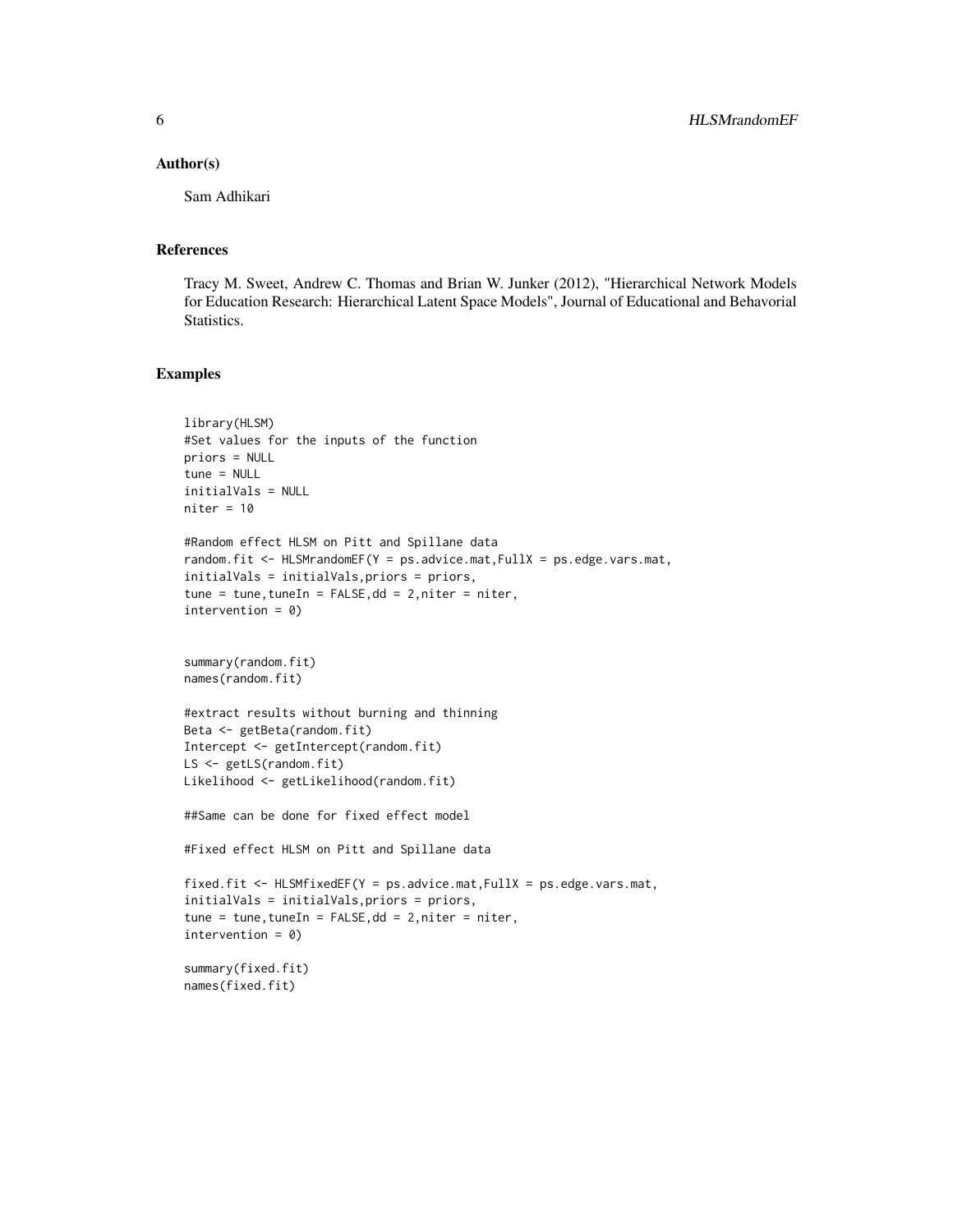#### Author(s)

Sam Adhikari

#### References

Tracy M. Sweet, Andrew C. Thomas and Brian W. Junker (2012), "Hierarchical Network Models for Education Research: Hierarchical Latent Space Models", Journal of Educational and Behavorial Statistics.

#### Examples

```
library(HLSM)
#Set values for the inputs of the function
priors = NULL
tune = NULL
initialVals = NULL
niter = 10#Random effect HLSM on Pitt and Spillane data
random.fit <- HLSMrandomEF(Y = ps.advice.mat,FullX = ps.edge.vars.mat,
initialVals = initialVals,priors = priors,
tune = tune,tuneIn = FALSE,dd = 2,niter = niter,
intervention = 0)
summary(random.fit)
names(random.fit)
#extract results without burning and thinning
Beta <- getBeta(random.fit)
Intercept <- getIntercept(random.fit)
LS <- getLS(random.fit)
Likelihood <- getLikelihood(random.fit)
##Same can be done for fixed effect model
#Fixed effect HLSM on Pitt and Spillane data
fixed.fit \leq HLSMfixedEF(Y = ps.advice.mat, FullX = ps.edge.vars.mat,
initialVals = initialVals,priors = priors,
tune = tune, tuneIn = FALSE, dd = 2, niter = niter,
intervention = 0)
summary(fixed.fit)
names(fixed.fit)
```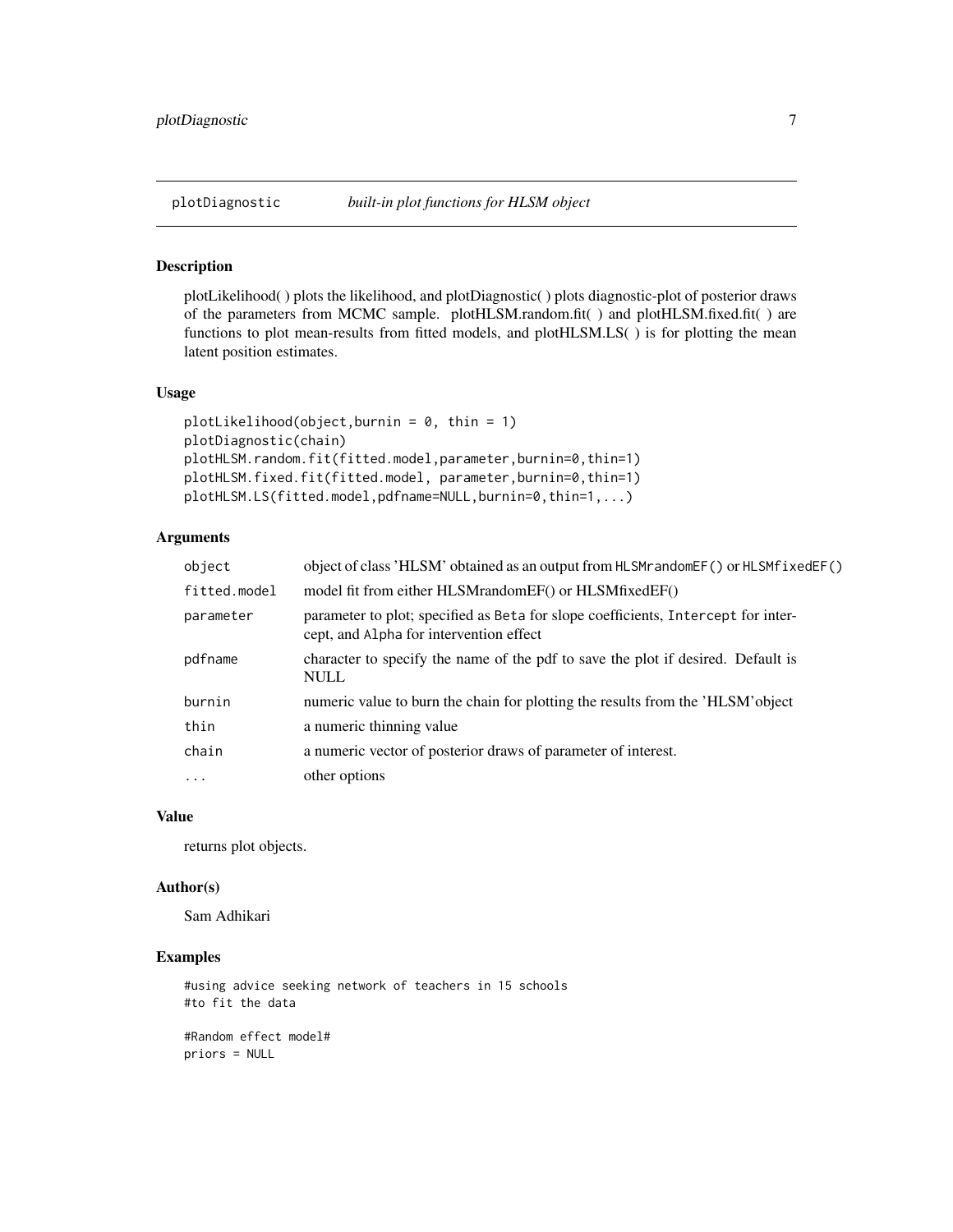<span id="page-6-0"></span>

#### Description

plotLikelihood( ) plots the likelihood, and plotDiagnostic( ) plots diagnostic-plot of posterior draws of the parameters from MCMC sample. plotHLSM.random.fit( ) and plotHLSM.fixed.fit( ) are functions to plot mean-results from fitted models, and plotHLSM.LS( ) is for plotting the mean latent position estimates.

# Usage

```
plotLikelibood(object,burnin = 0, thin = 1)plotDiagnostic(chain)
plotHLSM.random.fit(fitted.model,parameter,burnin=0,thin=1)
plotHLSM.fixed.fit(fitted.model, parameter,burnin=0,thin=1)
plotHLSM.LS(fitted.model,pdfname=NULL,burnin=0,thin=1,...)
```
# Arguments

| object                            | object of class 'HLSM' obtained as an output from HLSMr and ome F() or HLSMf ixed EF()                                       |
|-----------------------------------|------------------------------------------------------------------------------------------------------------------------------|
| fitted.model                      | model fit from either HLSMrandomEF() or HLSMfixedEF()                                                                        |
| parameter                         | parameter to plot; specified as Beta for slope coefficients, Intercept for inter-<br>cept, and Alpha for intervention effect |
| pdfname                           | character to specify the name of the pdf to save the plot if desired. Default is<br>NULL                                     |
| burnin                            | numeric value to burn the chain for plotting the results from the 'HLSM' object                                              |
| thin                              | a numeric thinning value                                                                                                     |
| chain                             | a numeric vector of posterior draws of parameter of interest.                                                                |
| $\bullet$ . $\bullet$ . $\bullet$ | other options                                                                                                                |

#### Value

returns plot objects.

#### Author(s)

Sam Adhikari

# Examples

```
#using advice seeking network of teachers in 15 schools
#to fit the data
```
#Random effect model# priors = NULL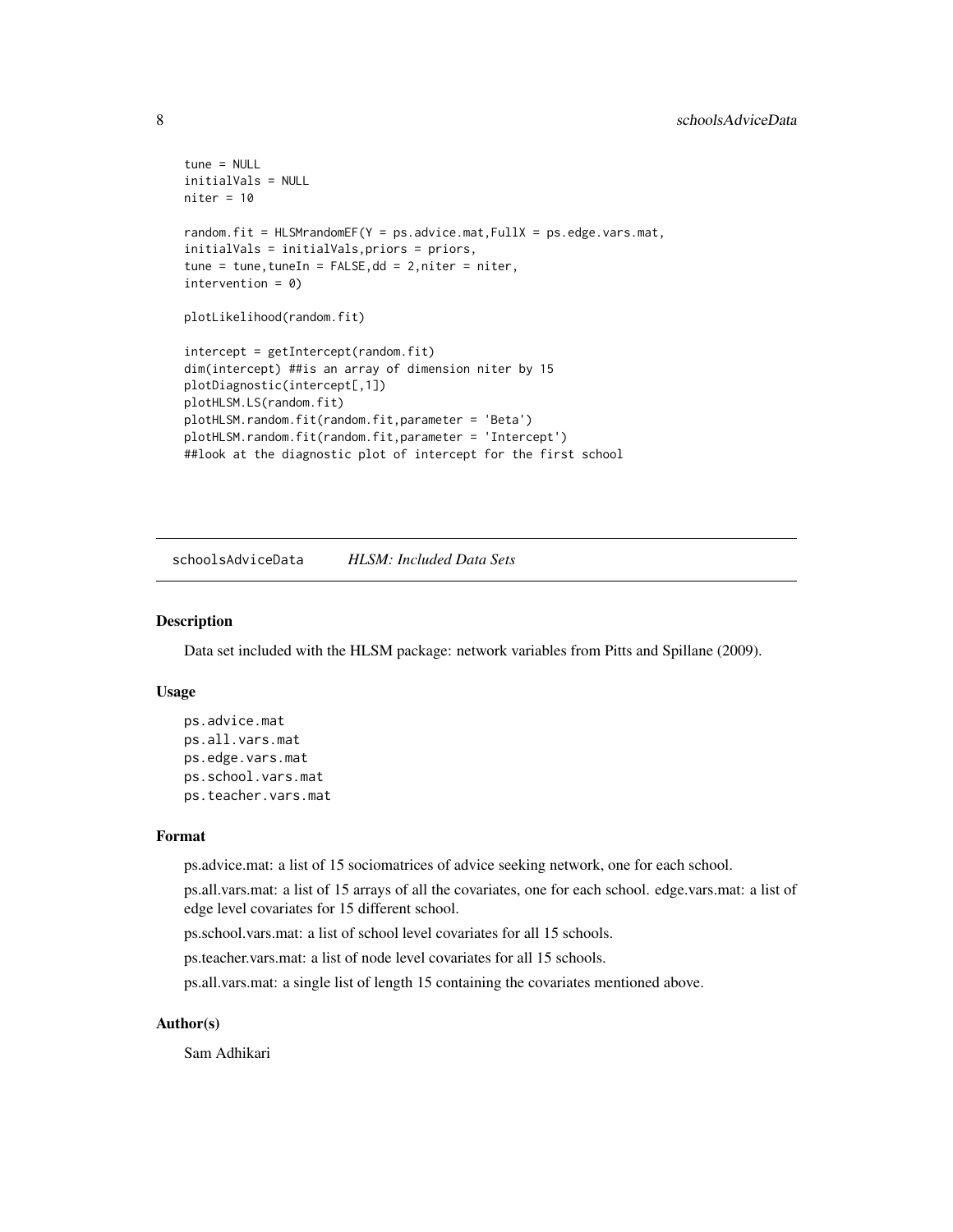```
tune = NULL
initialVals = NULL
niter = 10random.fit = HLSMrandomEF(Y = ps.advice.mat,FullX = ps.edge.vars.mat,
initialVals = initialVals,priors = priors,
tune = tune, tuneIn = FALSE, dd = 2, niter = niter,intervention = 0)
plotLikelihood(random.fit)
intercept = getIntercept(random.fit)
dim(intercept) ##is an array of dimension niter by 15
plotDiagnostic(intercept[,1])
plotHLSM.LS(random.fit)
plotHLSM.random.fit(random.fit,parameter = 'Beta')
plotHLSM.random.fit(random.fit,parameter = 'Intercept')
##look at the diagnostic plot of intercept for the first school
```
schoolsAdviceData *HLSM: Included Data Sets*

#### Description

Data set included with the HLSM package: network variables from Pitts and Spillane (2009).

# Usage

```
ps.advice.mat
ps.all.vars.mat
ps.edge.vars.mat
ps.school.vars.mat
ps.teacher.vars.mat
```
#### Format

ps.advice.mat: a list of 15 sociomatrices of advice seeking network, one for each school.

ps.all.vars.mat: a list of 15 arrays of all the covariates, one for each school. edge.vars.mat: a list of edge level covariates for 15 different school.

ps.school.vars.mat: a list of school level covariates for all 15 schools.

ps.teacher.vars.mat: a list of node level covariates for all 15 schools.

ps.all.vars.mat: a single list of length 15 containing the covariates mentioned above.

# Author(s)

Sam Adhikari

<span id="page-7-0"></span>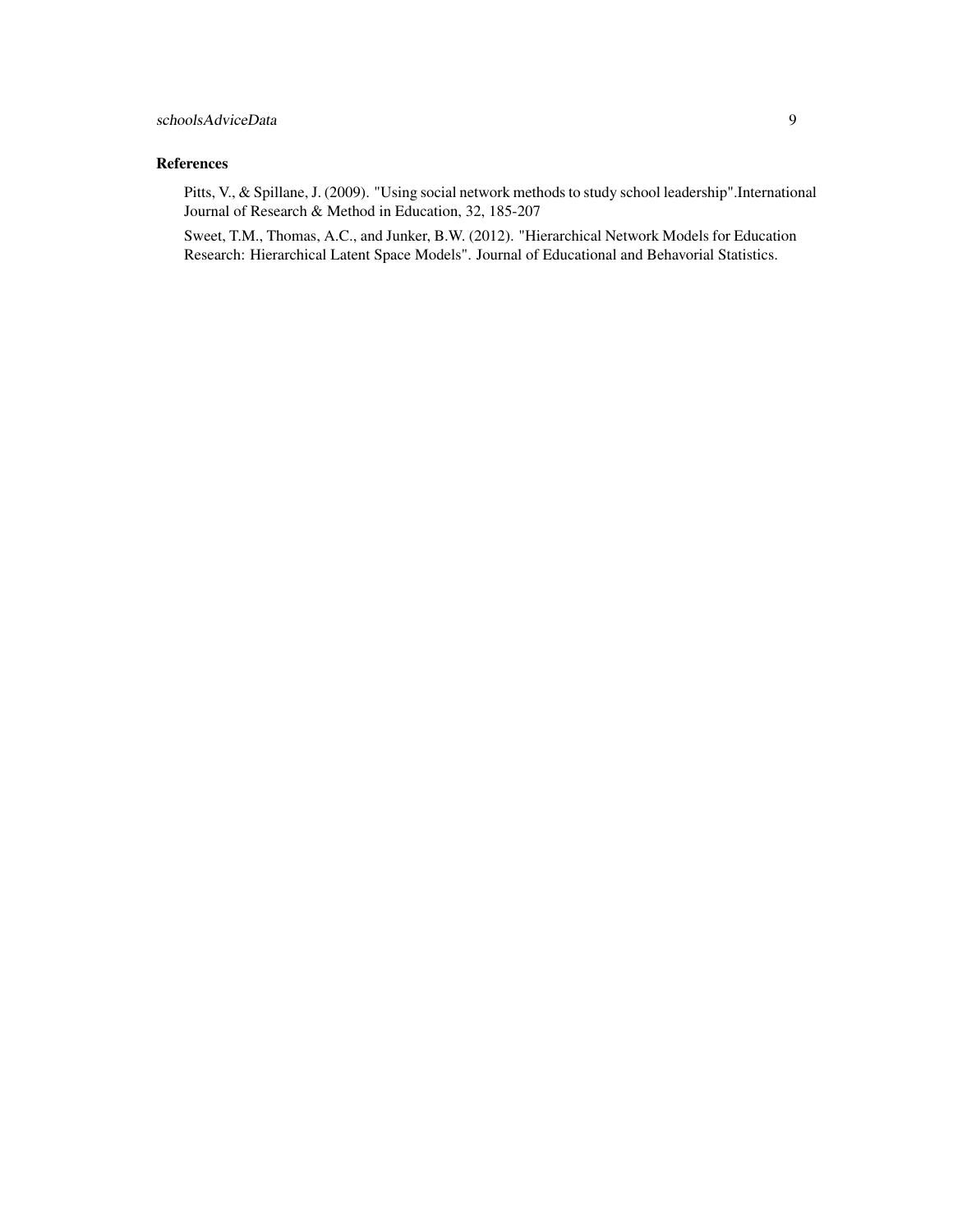# References

Pitts, V., & Spillane, J. (2009). "Using social network methods to study school leadership".International Journal of Research & Method in Education, 32, 185-207

Sweet, T.M., Thomas, A.C., and Junker, B.W. (2012). "Hierarchical Network Models for Education Research: Hierarchical Latent Space Models". Journal of Educational and Behavorial Statistics.